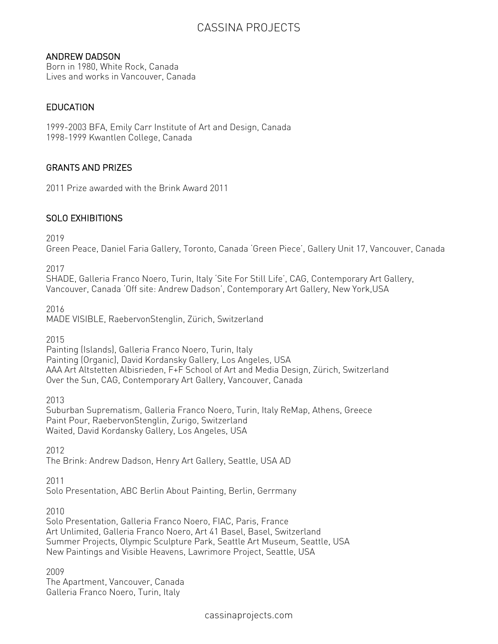# CASSINA PROJECTS

### ANDREW DADSON

Born in 1980, White Rock, Canada Lives and works in Vancouver, Canada

## **EDUCATION**

1999-2003 BFA, Emily Carr Institute of Art and Design, Canada 1998-1999 Kwantlen College, Canada

## GRANTS AND PRIZES

2011 Prize awarded with the Brink Award 2011

## SOLO EXHIBITIONS

2019

Green Peace, Daniel Faria Gallery, Toronto, Canada 'Green Piece', Gallery Unit 17, Vancouver, Canada

2017

SHADE, Galleria Franco Noero, Turin, Italy 'Site For Still Life', CAG, Contemporary Art Gallery, Vancouver, Canada 'Off site: Andrew Dadson', Contemporary Art Gallery, New York,USA

2016

MADE VISIBLE, RaebervonStenglin, Zürich, Switzerland

2015

Painting (Islands), Galleria Franco Noero, Turin, Italy Painting (Organic), David Kordansky Gallery, Los Angeles, USA AAA Art Altstetten Albisrieden, F+F School of Art and Media Design, Zürich, Switzerland Over the Sun, CAG, Contemporary Art Gallery, Vancouver, Canada

2013

Suburban Suprematism, Galleria Franco Noero, Turin, Italy ReMap, Athens, Greece Paint Pour, RaebervonStenglin, Zurigo, Switzerland Waited, David Kordansky Gallery, Los Angeles, USA

2012

The Brink: Andrew Dadson, Henry Art Gallery, Seattle, USA AD

2011

Solo Presentation, ABC Berlin About Painting, Berlin, Gerrmany

2010

Solo Presentation, Galleria Franco Noero, FIAC, Paris, France Art Unlimited, Galleria Franco Noero, Art 41 Basel, Basel, Switzerland Summer Projects, Olympic Sculpture Park, Seattle Art Museum, Seattle, USA New Paintings and Visible Heavens, Lawrimore Project, Seattle, USA

2009

The Apartment, Vancouver, Canada Galleria Franco Noero, Turin, Italy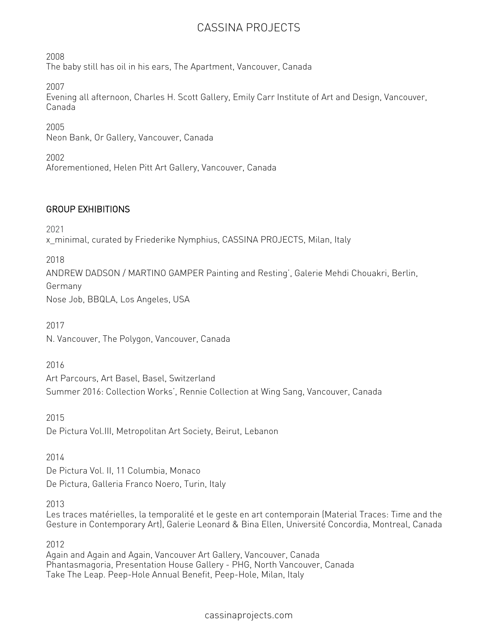# CASSINA PROJECTS

2008 The baby still has oil in his ears, The Apartment, Vancouver, Canada

2007

Evening all afternoon, Charles H. Scott Gallery, Emily Carr Institute of Art and Design, Vancouver, Canada

2005 Neon Bank, Or Gallery, Vancouver, Canada

2002 Aforementioned, Helen Pitt Art Gallery, Vancouver, Canada

## GROUP EXHIBITIONS

2021

x\_minimal, curated by Friederike Nymphius, CASSINA PROJECTS, Milan, Italy

2018

ANDREW DADSON / MARTINO GAMPER Painting and Resting', Galerie Mehdi Chouakri, Berlin, Germany Nose Job, BBQLA, Los Angeles, USA

2017 N. Vancouver, The Polygon, Vancouver, Canada

2016

Art Parcours, Art Basel, Basel, Switzerland Summer 2016: Collection Works', Rennie Collection at Wing Sang, Vancouver, Canada

2015 De Pictura Vol.III, Metropolitan Art Society, Beirut, Lebanon

2014

De Pictura Vol. II, 11 Columbia, Monaco De Pictura, Galleria Franco Noero, Turin, Italy

2013

Les traces matérielles, la temporalité et le geste en art contemporain (Material Traces: Time and the Gesture in Contemporary Art), Galerie Leonard & Bina Ellen, Université Concordia, Montreal, Canada

2012

Again and Again and Again, Vancouver Art Gallery, Vancouver, Canada Phantasmagoria, Presentation House Gallery - PHG, North Vancouver, Canada Take The Leap. Peep-Hole Annual Benefit, Peep-Hole, Milan, Italy